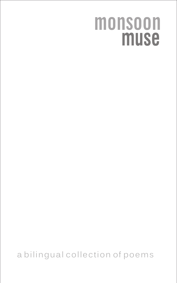## monsoon **muse**

a bilingual collection of poems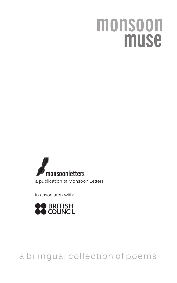# monsoon **muse**



in associaton with:



a bilingual collection of poems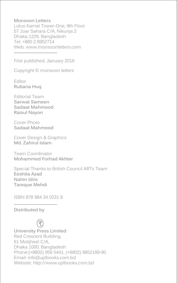#### **Monsoon Letters**

Lotus Kamal Tower-One, 9th Floor 57 Joar Sahara C/A, Nikunja 2 Dhaka 1229, Bangladesh Tel: +880 2 8952714 Web: www.monsoonletters.com

First published, January 2016

Copyright © monsoon letters

Editor **Rubana Huq**

Editorial Team **Sarwat Sameen Sadaat Mahmood Raisul Nayon**

Cover Photo **Sadaat Mahmood**

Cover Design & Graphics **Md. Zahirul Islam**

Team Coordinator **Mohammed Forhad Akhter**

Special Thanks to British Council ARTs Team **Eeshita Azad Nahin Idris Tareque Mehdi**

ISBN 978 984 34 0231 8

**Distributed by**

**University Press Limited** Red Crescent Building, 61 Motijheel C/A, Dhaka 1000, Bangladesh Phone:(+8802) 956 5441, (+8802) 9852189-90 Email: info@uplbooks.com.bd Website: http://www.uplbooks.com.bd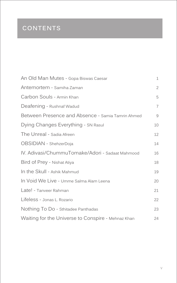#### **CONTENTS**

| An Old Man Mutes - Gopa Biswas Caesar              | 1              |
|----------------------------------------------------|----------------|
| Antemortem - Samiha Zaman                          | $\overline{2}$ |
| Carbon Souls - Armin Khan                          | 5              |
| Deafening - Rushnaf Wadud                          | $\overline{7}$ |
| Between Presence and Absence - Samia Tamrin Ahmed  | 9              |
| Dying Changes Everything - SN Rasul                | 10             |
| The Unreal - Sadia Afreen                          | 12             |
| OBSIDIAN - ShehzerDoja                             | 14             |
| IV. Adivasi/ChummuTomake/Adori - Sadaat Mahmood    | 16             |
| Bird of Prey - Nishat Atiya                        | 18             |
| In the Skull - Ashik Mahmud                        | 19             |
| In Void We Live - Umme Salma Alam Leena            | 20             |
| Late! - Tanveer Rahman                             | 21             |
| Lifeless - Jonas L. Rozario                        | 22             |
| Nothing To Do - Sthitadee Panthadas                | 23             |
| Waiting for the Universe to Conspire - Mehnaz Khan | 24             |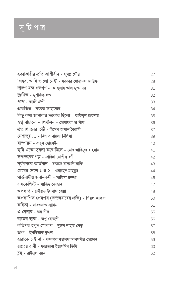## সূ চি প ত্র

| হত্যাকারীর প্রতি আশীর্বাদ - সুমগ্ন সৌর               | 27 |
|------------------------------------------------------|----|
| 'শহর, আমি ভালো নেই' - সরকার মোহাম্মদ জারিফ           | 29 |
| দারুণ মন্দ গন্ধগণ - আন্দুলাহ আল মুক্তাদির            | 31 |
| দুঃখিত - মুশফিক শুভ                                  | 32 |
| পাপ - কাজী ঐশী                                       | 33 |
| প্ৰায়শ্চিত্ত - ফয়েজ আহাম্মেদ                       | 34 |
| কিছু কথা জানাবার দরকার ছিলো - রাকিবুল হায়দার        | 35 |
| স্বপ্ন বাঁচানো ন্যাপথলিন - হোমায়রা হা-মীম           | 36 |
| প্রত্যাখ্যানের চিঠি - হিমেল হাসান বৈরাগী             | 37 |
| নেশাতুর  - নিশাত নায়লা নিলিমা                       | 39 |
| বাম্পায়ন - বাবুল হোসেইন                             | 40 |
| তুমি এতো সুবলা কবে ছিলে - মোঃ আরিফুর রাহমান          | 41 |
| রূপান্তরের গল্প - ফারিহা নোশীন বর্ণী                 | 42 |
| সূর্যকন্যার আর্তনাদ - ফজলে রাব্বানি রাফি             | 43 |
| মেঘের দেশে ১ ও ২ - ওয়াহেদ মাহমুদ                    | 44 |
| মাৰ্ক্সবাদীয় জবানবন্দী - শামিমা রুম্পা              | 46 |
| এসকেপিস্ট - মাজিদ তোহান                              | 47 |
| অপলাপ - কৌম্ভভ ইসলাম শ্ৰেয়া                         | 49 |
| অপ্রকাশিত প্রেমপত্র (বদলেয়ারের প্রতি) - শিমুল আকন্দ | 50 |
| কবিতা - সারওয়াত সামিন                               | 51 |
| এ বেলায় - শুভ্ৰ নীল                                 | 55 |
| রাতের ছায়া - অপু মেহেদী                             | 56 |
| কতিপয় হলুদ গোলাপ - নুরুন নাহার সেতু                 | 57 |
| ডাক - ইশতিয়াক কুশল                                  | 58 |
| হারাতে চাই না - খন্দকার মুহাম্মদ আলমগীর হোসেন        | 59 |
| রাতের রাণী - ফারজানা ইয়াসমিন তিথি                   | 60 |
| চুমু - রাইসুল নয়ন                                   | 62 |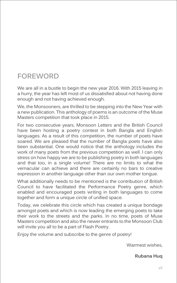#### **FOREWORD**

We are all in a bustle to begin the new year 2016. With 2015 leaving in a hurry, the year has left most of us dissatisfied about not having done enough and not having achieved enough.

We, the Monsooners, are thrilled to be stepping into the New Year with a new publication. This anthology of poems is an outcome of the Muse Masters competition that took place in 2015.

For two consecutive years, Monsoon Letters and the British Council have been hosting a poetry contest in both Bangla and English languages. As a result of this competition, the number of poets have soared. We are pleased that the number of Bangla poets have also been substantial. One would notice that the anthology includes the work of many poets from the previous competition as well. I can only stress on how happy we are to be publishing poetry in both languages and that too, in a single volume! There are no limits to what the vernacular can achieve and there are certainly no bars to creative expression in another language other than our own mother tongue.

What additionally needs to be mentioned is the contribution of British Council to have facilitated the Performance Poetry genre, which enabled and encouraged poets writing in both languages to come together and form a unique circle of unified space.

Today, we celebrate this circle which has created a unique bondage amongst poets and which is now leading the emerging poets to take their work to the streets and the parks. In no time, poets of Muse Masters competition and also the newer entrants to the Monsoon Club will invite you all to be a part of Flash Poetry.

Enjoy the volume and subscribe to the genre of poetry!

Warmest wishes,

#### **Rubana Huq**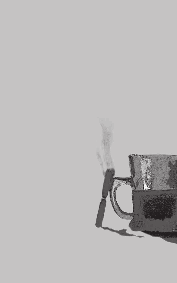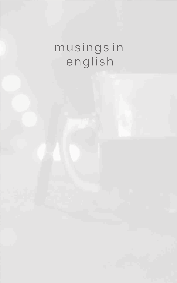# musings in<br>english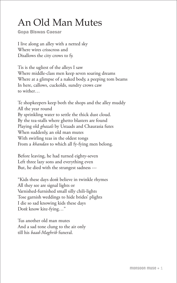## An Old Man Mutes

Gopa Biswas Caesar

I live along an alley with a netted sky Where wires crisscross and Disallows the city crows to fy.

Tis is the ugliest of the alleys I saw Where middle-class men keep seven soaring dreams Where at a glimpse of a naked body, a peeping tom beams In here, callows, cuckolds, sundry crows caw to wither…

Te shopkeepers keep both the shops and the alley muddy All the year round By sprinkling water to settle the thick dust cloud. By the tea-stalls where ghetto blasters are found Playing old *ghazals* by Ustaads and Chaurasia futes When suddenly, an old man mutes With swirling teas in the oldest tongs From a *khandan* to which all fy-fying men belong.

Before leaving, he had turned eighty-seven Left three lazy sons and everything even But, he died with the strangest sadness ---

"Kids these days don't believe in twinkle rhymes All they see are signal lights or Varnished-furnished small silly chili-lights Tose garnish weddings to hide brides' plights I die so sad knowing kids these days Don't know kite-fying…"

Tus another old man mutes And a sad tone clung to the air only till his *baad-Maghrib* funeral.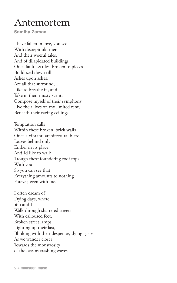#### Antemortem

Samiha Zaman

I have fallen in love, you see With decrepit old men And their woeful tales, And of dilapidated buildings Once faultless tiles, broken to pieces Bulldozed down till Ashes upon ashes, Are all that surround, I Like to breathe in, and Take in their musty scent. Compose myself of their symphony Live their lives on my limited rent, Beneath their caving ceilings.

Temptation calls Within these broken, brick walls Once a vibrant, architectural blaze Leaves behind only Ember in its place. And I'd like to walk Trough these foundering roof tops With you So you can see that Everything amounts to nothing Forever, even with me.

I often dream of Dying days, where You and I Walk through shattered streets With calloused feet, Broken street lamps Lighting up their last, Blinking with their desperate, dying gasps As we wander closer Towards the monstrosity of the ocean's crashing waves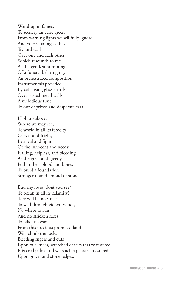World up in fames, Te scenery an eerie green From warning lights we willfully ignore And voices fading as they Try and wail Over one and each other Which resounds to me As the gentlest humming Of a funeral bell ringing. An orchestrated composition Instrumentals provided By collapsing glass shards Over rusted metal walls; A melodious tune To our deprived and desperate ears.

High up above, Where we may see, Te world in all its ferocity. Of war and fright, Betrayal and fight, Of the innocent and needy, Flailing, helpless, and bleeding As the great and greedy Pull in their blood and bones To build a foundation Stronger than diamond or stone.

But, my loves, don't you see? Te ocean in all its calamity? Tere will be no sirens To wail through violent winds, No where to run, And no stricken faces To take us away From this precious promised land. We'll climb the rocks Bleeding fngers and cuts Upon our knees, scratched cheeks that've festered Blistered palms, till we reach a place sequestered Upon gravel and stone ledges,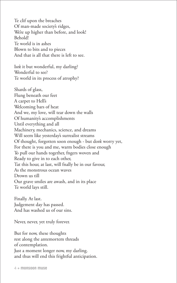Te clif upon the breaches Of man-made society's ridges, We're up higher than before, and look! Behold! Te world is in ashes Blown to bits and to pieces And that is all that there is left to see.

Isn't it but wonderful, my darling? Wonderful to see? Te world in its process of atrophy?

Shards of glass, Flung beneath our feet A carpet to Hell's Welcoming bars of heat And we, my love, will tear down the walls Of humanity's accomplishments Until everything and all Machinery, mechanics, science, and dreams Will seem like yesterday's surrealist streams Of thought, forgotten soon enough - but don't worry yet, For there is you and me, warm bodies close enough To pull our hands together, fngers woven and Ready to give in to each other, Tat this hour, at last, will fnally be in our favour, As the monstrous ocean waves Drown us till Our grave smiles are awash, and in its place Te world lays still.

Finally. At last. Judgement day has passed. And has washed us of our sins.

Never, never, yet truly forever.

But for now, these thoughts rest along the antemortem threads of contemplation. Just a moment longer now, my darling. and thus will end this frightful anticipation.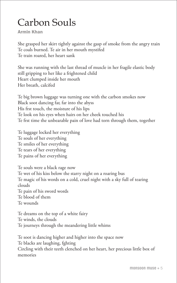#### Carbon Souls

Armin Khan

She grasped her skirt tightly against the gasp of smoke from the angry train Te coals burned. Te air in her mouth mystifed Te train roared, her heart sank

She was running with the last thread of muscle in her fragile elastic body still gripping to her like a frightened child Heart clumped inside her mouth Her breath, calcifed

Te big brown luggage was turning one with the carbon smokes now Black soot dancing far, far into the abyss His frst touch, the moisture of his lips Te look on his eyes when hairs on her cheek touched his Te frst time the unbearable pain of love had torn through them, together

Te luggage locked her everything Te souls of her everything Te smiles of her everything Te tears of her everything Te pains of her everything

Te souls were a black rage now Te wet of his kiss below the starry night on a roaring bus Te magic of his words on a cold, cruel night with a sky full of tearing clouds Te pain of his sword words Te blood of them Te wounds

Te dreams on the top of a white fairy Te winds, the clouds Te journeys through the meandering little whims

Te soot is dancing higher and higher into the space now Te blacks are laughing, fghting Circling with their teeth clenched on her heart, her precious little box of memories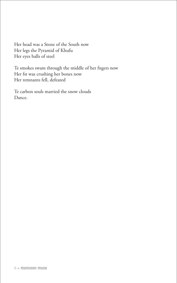Her head was a Stone of the South now Her legs the Pyramid of Khufu Her eyes balls of steel

Te smokes swam through the middle of her fngers now Her fst was crushing her bones now Her remnants fell, defeated

Te carbon souls married the snow clouds Dance.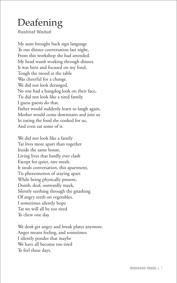## Deafening

Rushnaf Wadud

My aunt brought back sign language To our dinner conversation last night, From this workshop she had attended. My head wasn't working through dinner, It was bent and focused on my food, Tough the mood at the table Was cheerful for a change. We did not look deranged, No one had a hangdog look on their face, Tis did not look like a tired family. I guess guests do that. Father would suddenly learn to laugh again, Mother would come downstairs and join us In eating the food she cooked for us, And even eat some of it.

We did not look like a family Tat lives more apart than together Inside the same house, Living lives that hardly ever clash Except for quiet, rare meals. It steals conversation, this apartment, Tis phenomenon of staying apart While being physically present, Dumb, deaf, outwardly meek, Silently seething through the gnashing Of angry teeth on vegetables. I sometimes silently hope Tat we will all be too tired To chew one day.

We dont get angry and break plates anymore. Anger means feeling, and sometimes I silently ponder that maybe We have all become too tired To feel these days.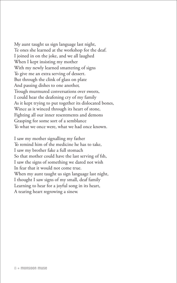My aunt taught us sign language last night, Te ones she learned at the workshop for the deaf. I joined in on the joke, and we all laughed When I kept insisting my mother With my newly learned smattering of signs To give me an extra serving of dessert. But through the clink of glass on plate And passing dishes to one another, Trough murmured conversations over sweets, I could hear the deafening cry of my family As it kept trying to put together its dislocated bones, Wince as it winced through its heart of stone, Fighting all our inner resentments and demons Grasping for some sort of a semblance To what we once were, what we had once known.

I saw my mother signalling my father To remind him of the medicine he has to take, I saw my brother fake a full stomach So that mother could have the last serving of fsh, I saw the signs of something we dared not wish In fear that it would not come true. When my aunt taught us sign language last night, I thought I saw signs of my small, deaf family Learning to hear for a joyful song in its heart, A tearing heart regrowing a sinew.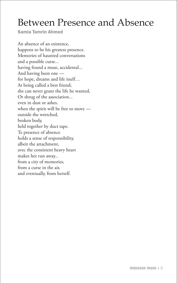#### Between Presence and Absence

Samia Tamrin Ahmed

An absence of an existence, happens to be his greatest presence. Memories of haunted conversations and a possible curse... having found a muse, accidental... And having been one for hope, dreams and life itself… At being called a best friend; she can never grant the life he wanted, Or shrug of the association... even in dust or ashes, when the spirit will be free to move outside the wretched, broken body, held together by duct tape. Te presence of absence holds a sense of responsibility, albeit the attachment, avec the consistent heavy heart makes her run away... from a city of memories, from a curse in the air, and eventually, from herself.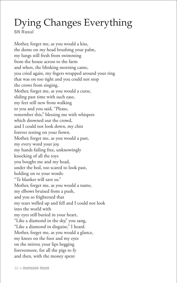## Dying Changes Everything

SN Rasul

Mother, forget me, as you would a kiss, the dome on my head brushing your palm, my lungs still fresh from swimming from the house across to the farm and when, the blinking morning came, you cried again, my fngers wrapped around your ring that was on too tight and you could not stop the crows from singing. Mother, forget me, as you would a curse, sliding past time with such ease, my feet still new from walking to you and you said, "Please, remember this," blessing me with whispers which drowned out the crowd, and I could not look down, my chin forever resting on your frown. Mother, forget me, as you would a past, my every word your joy, my hands failing free, unknowingly knocking of all the toys you bought me and my head, under the bed, too scared to look past, holding on to your words: "Te blanket will save us." Mother, forget me, as you would a name, my elbows bruised from a push, and you so frightened that my tears welled up and fell and I could not look into the world with my eyes still buried in your heart, "Like a diamond in the sky," you sang, "Like a diamond in disguise," I heard. Mother, forget me, as you would a glance, my knees on the foor and my eyes on the mirror, your lips begging forevermore, for all the pigs to fy and then, with the money spent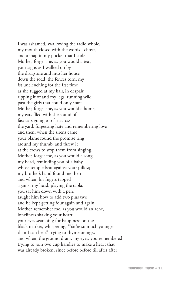I was ashamed, swallowing the radio whole, my mouth closed with the words I chose, and a map in my pocket that I stole. Mother, forget me, as you would a tear, your sighs as I walked on by the drugstore and into her house down the road, the fences torn, my fst unclenching for the frst time as she tugged at my hair, in despair, ripping it of and my legs, running wild past the girls that could only stare. Mother, forget me, as you would a home, my ears flled with the sound of fast cars going too far across the yard, forgetting hate and remembering love and then, when the sirens came, your blame found the promise ring around my thumb, and threw it at the crows to stop them from singing. Mother, forget me, as you would a song, my head, reminding you of a baby whose temple beat against your pillow, my brother's hand found me then and when, his fngers tapped against my head, playing the tabla, you sat him down with a pen, taught him how to add two plus two and he kept getting four again and again. Mother, remember me, as you would an ache, loneliness shaking your heart, your eyes searching for happiness on the black market, whispering, "You're so much younger than I can bear," trying to rhyme oranges and when, the ground drank my eyes, you remembered trying to join two cup handles to make a heart that was already broken, since before before till after after.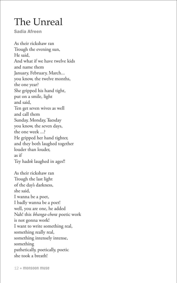### The Unreal

Sadia Afreen

As their rickshaw ran Trough the evening sun, He said, And what if we have twelve kids and name them January, February, March... you know, the twelve months, the one year? She gripped his hand tight, put on a smile, light and said, Ten get seven wives as well and call them Sunday, Monday, Tuesday you know, the seven days, the one week ...? He gripped her hand tighter, and they both laughed together louder than louder, as if Tey hadn't laughed in ages!! As their rickshaw ran

Trough the last light of the day's darkness, she said, I wanna be a poet, I badly wanna be a poet! well, you are one, he added Nah! this *bhanga-chora* poetic work is not gonna work! I want to write something real, something really real, something intensely intense, something pathetically, poetically, poetic she took a breath!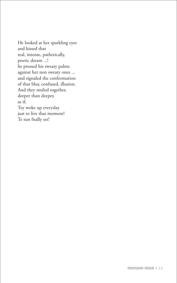He looked at her sparkling eyes and kissed that real, intense, pathetically, poetic dream ...! he pressed his sweaty palms against her non sweaty ones ... and signaled the conformation of that blur, confused, illusion. And they smiled together, deeper than deeper, as if, Tey woke up everyday just to live that moment! Te sun fnally set!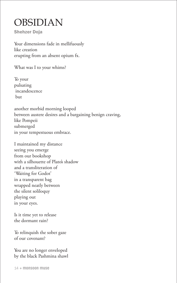#### OBSIDIAN

Shehzer Doja

Your dimensions fade in mellifuously like creation erupting from an absent opium fx.

What was I to your whims?

To your pulsating incandescence but

another morbid morning looped between austere desires and a bargaining benign craving, like Pompeii submerged in your tempestuous embrace.

I maintained my distance seeing you emerge from our bookshop with a silhouette of Plato's shadow and a transliteration of 'Waiting for Godot' in a transparent bag wrapped neatly between the silent soliloquy playing out in your eyes.

Is it time yet to release the dormant rain?

To relinquish the sober gaze of our covenant?

You are no longer enveloped by the black Pashmina shawl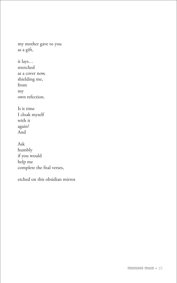my mother gave to you as a gift,

| it lays         |
|-----------------|
| stretched       |
| as a cover now, |
| shielding me,   |
| from            |
| my              |
| own refection.  |

Is it time I cloak myself with it again? And

Ask humbly if you would help me complete the fnal verses,

etched on this obsidian mirror.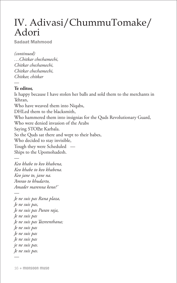#### IV. Adivasi/ChummuTomake/ Adori

Sadaat Mahmood

*(continued) …Chitkar chechamechi, Chitkar chechamechi, Chitkar chechamechi, Chitkar, chitkar*

#### **Te editor,**

—

*—*

—

Is happy because I have stolen her balls and sold them to the merchants in Tehran, Who have weaved them into Niqabs, DHLed them to the blacksmith, Who hammered them into insignias for the Quds Revolutionary Guard, Who were denied invasion of the Arabs Saying STOP.at Karbala. So the Quds sat there and wept to their babes, Who decided to stay invisible, Tough they were Scheduled — Ships to the Upomohadesh.

— *Keo khabe to keo khabena, Keo khabe to keo khabena. Keo jane to, jane na. 'Amrao to khudarto, Amader marenna keno?'*

*Je ne suis pas Rana plaza, Je ne suis pas, Je ne suis pas Puran raja, Je ne suis pas Je ne suis pas Tazreenthana; Je ne suis pas Je ne suis pas Je ne suis pas je ne suis pas. Je ne suis pas.*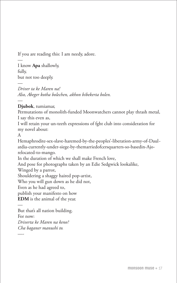If you are reading this: I am needy, adore.

— I know **Apa** shallowly, fully, but not too deeply.

— *Driver ta ke Maren na! Also, Abeger kotha bolechen, akhon bibekerta bolen.*

#### — **Djubok**, tumiamar,

Permutations of monolith-funded Moonwatchers cannot play thrash metal, I say this even as,

I will retain your un-teeth expressions of fght club into consideration for my novel about:

A

—

—-

Hemaphrodite-sex-slave-haremed-by-the-peoples'-liberation-army-of-Daulatdia-currently-under-siege-by-themarriedofcersquarters-so-basedin-Ajorelocated-to-mango.

In the duration of which we shall make French love,

And pose for photographs taken by an Edie Sedgwick lookalike,

Winged by a parrot,

Shouldering a shaggy haired pop-artist,

Who you will gun down as he did not,

Even as he had agreed to,

publish your manifesto on how

**EDM** is the animal of the year.

But that's all nation building. For now: *Driverta ke Maren na keno? Cha baganer manushi to.*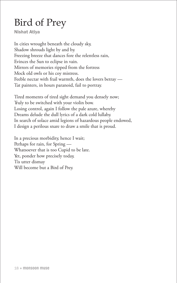### Bird of Prey

Nishat Atiya

In cities wrought beneath the cloudy sky, Shadow shrouds light by and by. Freezing breeze that dances fore the relentless rain, Evinces the Sun to eclipse in vain. Mirrors of memories ripped from the fortress Mock old owls or his coy mistress. Feeble nectar with frail warmth, does the lovers betray — Tat painters, in hours paranoid, fail to portray.

Tired moments of tired sight demand you densely now; Truly to be switched with your violin bow. Losing control, again I follow the pale azure, whereby Dreams delude the dull lyrics of a dark cold lullaby. In search of solace amid legions of hazardous people endowed, I design a perilous snare to draw a smile that is proud.

In a precious morbidity, hence I wait; Perhaps for rain, for Spring — Whatsoever that is too Cupid to be late. Yet, ponder how precisely today, Tis utter dismay Will become but a Bird of Prey.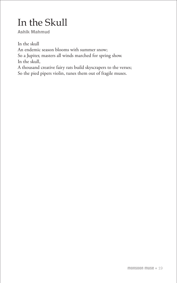## In the Skull

Ashik Mahmud

In the skull An endemic season blooms with summer snow; So a Jupiter, masters all winds marched for spring show. In the skull, A thousand creative fairy rats build skyscrapers to the verses; So the pied pipers violin, tunes them out of fragile muses.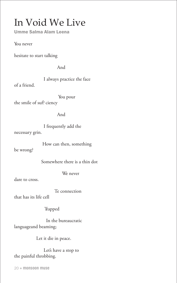#### In Void We Live

Umme Salma Alam Leena

You never

hesitate to start talking

And

I always practice the face of a friend.

You pour the smile of suf? ciency

And

I frequently add the necessary grin.

How can then, something

be wrong?

Somewhere there is a thin dot

We never

dare to cross.

Te connection

that has its life cell

Trapped

In the bureaucratic languageand beaming;

Let it die in peace.

Let's have a stop to the painful throbbing.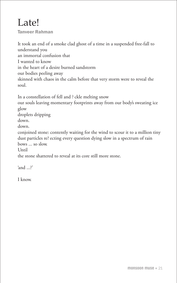#### Late!

Tanveer Rahman

It took an end of a smoke clad ghost of a time in a suspended free-fall to understand you an immortal confusion that I wanted to know in the heart of a desire burned sandstorm our bodies peeling away skinned with chaos in the calm before that very storm were to reveal the soul.

In a constellation of fell and ? ckle melting snow our souls leaving momentary footprints away from our body's sweating ice glow droplets dripping down. down. conjoined stone: contently waiting for the wind to scour it to a million tiny dust particles re? ecting every question dying slow in a spectrum of rain bows ... so slow.

Until

the stone shattered to reveal at its core still more stone.

'and ...?'

I know.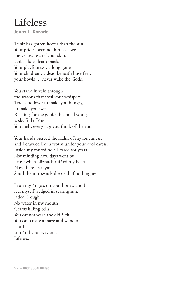#### Lifeless

Jonas L. Rozario

Te air has gotten hotter than the sun. Your pride's become thin, as I see the yellowness of your skin. looks like a death mask. Your playfulness … long gone Your children ... dead beneath busy feet, your howls … never wake the Gods.

You stand in vain through the seasons that steal your whispers. Tere is no lover to make you hungry, to make you sweat. Rushing for the golden beam all you get is sky full of ? re. You melt, every day, you think of the end.

Your hands pierced the realm of my loneliness, and I crawled like a worm under your cool caress. Inside my muted hole I eased for years. Not minding how days went by. I rose when blizzards ruf? ed my heart. Now there I see you— South-bent, towards the ? eld of nothingness.

I run my ? ngers on your bones, and I feel myself wedged in searing sun. Jaded, Rough. No water in my mouth Germs killing cells. You cannot wash the old ? lth. You can create a maze and wander Until. you ? nd your way out. Lifeless.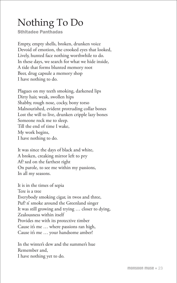#### Nothing To Do

Sthitadee Panthadas

Empty, empty shells, broken, drunken voice Devoid of emotion, the crooked eyes that looked, Lively, hunted face nothing worthwhile to do. In these days, we search for what we hide inside, A tide that forms blunted memory root Beer, drug capsule a memory shop I have nothing to do.

Plagues on my teeth smoking, darkened lips Dirty hair, weak, swollen hips Shabby, rough nose, cocky, bony torso Malnourished, evident protruding collar bones Lost the will to live, drunken cripple lazy bones Someone rock me to sleep. Till the end of time I wake, My work begins, I have nothing to do.

It was since the days of black and white, A broken, creaking mirror left to pry Af? xed on the farthest right On parole, to see me within my passions, In all my seasons.

It is in the times of sepia Tere is a tree Everybody smoking cigar, in twos and three, Puf? n' smoke around the Greenland singer It was still growing and trying … closer to dying, Zealousness within itself Provides me with its protective timber Cause it's me … where passions ran high, Cause it's me … your handsome amber!

In the winter's dew and the summer's hue Remember and, I have nothing yet to do.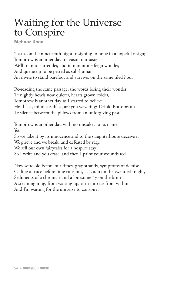#### Waiting for the Universe to Conspire

Mehnaz Khan

2 a.m. on the nineteenth night, resigning to hope in a hopeful resign; Tomorrow is another day to season our taste We'll train to surrender, and in monotone feign wonder, And queue up to be petted as sub-human An invite to stand barefoot and survive, on the same tiled ? oor

Re-reading the same passage, the words losing their wonder Te nightly howls now quieter, hearts grown colder, Tomorrow is another day, as I started to believe Hold fast, mind steadfast, are you wavering? Drink! Bottom's up Te silence between the pillows from an unforgiving past

Tomorrow is another day, with no mistakes to its name, Yet.

So we take it by its innocence and to the slaughterhouse deceive it We grieve and we break, and defeated by rage We sell our own fairytales for a hospice stay

So I write and you erase, and then I paint your wounds red

Now we're old before our times, gray strands, symptoms of demise Calling a truce before time runs out, at 2 a.m on the twentieth night, Sediments of a chronicle and a lonesome ? y on the brim A steaming mug, from waiting up, turn into ice from within And I'm waiting for the universe to conspire.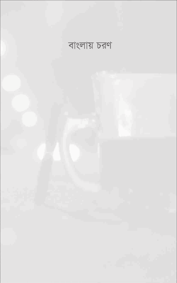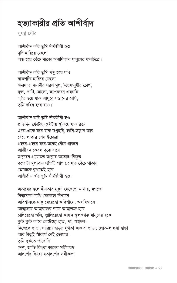# হত্যাকারীর প্রতি আশীর্বাদ

সুমগ্ন সৌর

আশীৰ্বাদ করি তুমি দীর্ঘজীবী হও দৃষ্টি হারিয়ে ফেলো অন্ধ হয়ে বেঁচে থাকো অনাদিকাল মানুষের মানচিত্রে।

আশীর্বাদ করি তুমি পঙ্গু হয়ে যাও বাকশক্তি হারিয়ে ফেলো জন্মদাতা জননীর সরল মুখ, প্রিয়মানুষীর চোখ, ফুল, পাখি, আলো, আপনজন এমনকি স্মৃতি হয়ে যাক আদুরে সন্তানের হাসি, তুমি বধির হয়ে যাও।

আশীৰ্বাদ করি তুমি দীর্ঘজীবী হও প্রতিদিন ফোঁটায়-ফোঁটায় শুকিয়ে যাক রক্ত একে-একে মরে যাক স্বপ্নছবি, হাসি-উল্লাস আর বেঁচে থাকার শেষ ইচ্ছেরা প্রহরে-প্রহরে মরে-মরেই বেঁচে থাকবে আজীবন কেবল বুঝে যাবে মানুষের প্রয়োজন মানুষে কতোটা বিস্তৃত কতোটা মূল্যবান প্রতিটি প্রাণ তোমার বেঁচে থাকায় তোমাকে বুঝতেই হবে আশীৰ্বাদ করি তুমি দীর্ঘজীবী হও।

অভাবের ছলে হীনতার মুকুট মেখেছো মাথায়, মগজে বিশ্বাসকে লাথি মেরেছো বিশ্বাসে অবিশ্বাসকে চাকু মেরেছো অবিশ্বাসে, অন্ধবিশ্বাসে। আত্মভয়ে আত্মরক্ষার নামে আত্মশক্র হয়ে চালিয়েছো গুলি, জ্বালিয়েছো আগুন জ্বলজ্যান্ত মানুষের বুকে কুচি-কুচি ক'রে কেটেছো হাত, পা, স্বপ্নদল। নিজেকে ছাড়া, দারিদ্র্য ছাড়া; মূর্খতা অজ্ঞতা ছাড়া; লোভ-লালসা ছাড়া .<br>আর কিছুই স্বীকার্য নেই তোমার। তুমি বুঝতে পারোনি দেশ, জাতি কিংবা কালের সমীকরণ আদর্শের কিংবা মতাদর্শের সমীকরণ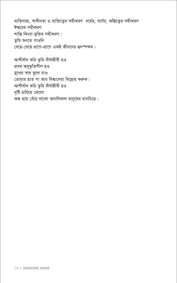ব্যক্তিসত্তা, স্বাধীনতা ও ব্যক্তিত্বের সমীকরণ ধর্মের, বর্ণের, অস্তিত্বের সমীকরণ ঈশ্বরের সমীকরণ শান্তি কিংবা মুক্তির সমীকরণ। তুমি শুনতে পাওনি দেহে-দেহে প্রাণে-প্রাণে একই জীবনের হুৎস্পন্দন।

আশীৰ্বাদ করি তুমি দীর্ঘজীবী হও প্ৰখর অনুভূতিশীল হও মুখের স্বাদ ভুলে যাও তোমার হাত পা আর বিশ্বাসেরা বিদ্রোহ করুক। আশীৰ্বাদ করি তুমি দীর্ঘজীবী হও দৃষ্টি হারিয়ে ফেলো অন্ধ হয়ে বেঁচে থাকো অনাদিকাল মানুষের মানচিত্রে।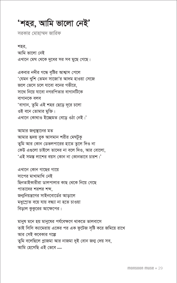মানুষ মনে হয় মানুষের পর্যবেক্ষণে থাকতে ভালবাসে তাই সিসি ক্যামেরায় একের পর এক ফুটেজ সৃষ্টি করে জমিয়ে রাখে আর সেই কবেকার গল্পে তুমি বলেছিলে প্লাজমা আর নাজমা দুই বোন জন্ম দেয় সব, আমি হেসেছি এই ভেবে .....

এখানে কোন গাছের গায়ে সাপের মাখামাখি নেই ছিনতাইকারীরা ডালপালার কাছ থেকে নিয়ে গেছে পাতাদের শরশর শব্দ, জন্মনিয়ন্ত্রণের সাইনবোর্ডের আড়ালে মধুস্ৰোত বয়ে যায় বন্ধ্যা না হতে চাওয়া বিড়াল কুকুরের আক্ষেপের।

আমার জন্মস্থানের মত আমার হৃদয় বুক আসমান শরীর মেঘটুকু তুমি আর কোন ডেভলপারের হাতে তুলে দিও না কেউ এগুলো চাইলে তাদের না বলে দিও, আর বোলো, 'এই সমস্ত লাশের বয়স কোন না কোনভাবে চারশ।'

একবার নদীর গন্ধে বৃষ্টির আশ্বাস পেলে 'যেমন খুশি তেমন সাজো'র আদম হাওয়া সেজে জলে ভেসে চলে যাবো বনের গভীরে, সাথে নিয়ে যাবো নগরপিতার বাগানটিকে বাগানকে বলব 'বাগান, তুমি এই শহর ছেড়ে দূরে চলো ওই বনে তোমার মুক্তি। এখানে কোথাও ইচ্ছেমত বেড়ে ওঠা নেই।'

শহর. আমি ভালো নেই এখানে মেঘ থেকে দুধের সর সব মুছে গেছে।

সরকার মোহাম্মদ জারিফ

## 'শহর, আমি ভালো নেই'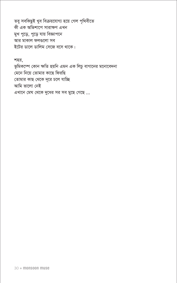তবু সবকিছুই খুব বিক্রয়যোগ্য হয়ে গেল পৃথিবীতে কী এক অভিশাপে সারাক্ষণ এখন মুখ পুড়ে, পুড়ে যায় বিজ্ঞাপনে আর মাকাল ফলগুলো সব ইটের ডালে ডালিম সেজে বসে থাকে।

শহর, ভূমিকম্পে কোন ক্ষতি হয়নি এমন এক লিচু বাগানের মনোবেদনা মেনে নিয়ে তোমার কাছে ফিরছি তোমার কাছ থেকে দূরে চলে যাচ্ছি আমি ভালো নেই এখানে মেঘ থেকে দুধের সর সব মুছে গেছে ...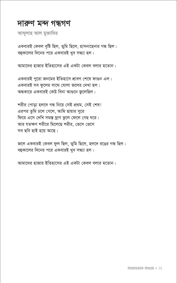### দারুণ মন্দ গন্ধগণ

আব্দুলাহ আল মুক্তাদির

একবারই কেবল বৃষ্টি ছিল, তুমি ছিলে, হাসনাহেনার গন্ধ ছিল। বহুকালের দিনের পরে একবারই খুব সন্ধ্যা হল।

আমাদের হাজার ইতিহাসের এই একটা কেবল বলার মতোন।

একবারই পুরো জনমের ইতিহাসে শ্রাবণ শেষে ফাগুন এল। একবারই সব ফুলের সাথে ঘোলা জলের দেখা হল। অন্ধকারে একবারই কেউ বিনা আগুনে জ্বলেছিল।

শরীর পোড়া হলদে গন্ধ নিয়ে সেই প্রথম, সেই শেষ! এরপর তুমি চলে গেলে, আমি ছায়ার সুরে ফিরে এসে দেখি সমস্ত ঘ্রাণ ভুলে ফেলে গেছ ঘরে। আর যতক্ষণ শরীরে মিলেছে শরীর, ভেসে ভেসে সব ছবি ছাই হয়ে আছে।

জলে একবারই কেবল ফুল ছিল, তুমি ছিলে, হলদে রঙের গন্ধ ছিল। বহুকালের দিনের পরে একবারই খুব সন্ধ্যা হল।

আমাদের হাজার ইতিহাসের এই একটা কেবল বলার মতোন।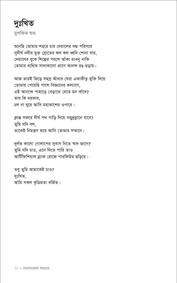

শুনেছি তোমার শহরে চার দেয়ালের বদ্ধ পরিসরে সুদীর্ঘ নদীর মুক্ত স্রোতের কল কল ধ্বনি শোনা যায়, দেয়ালের বুকে শিল্পের পরশে আঁকা রংধনু নাকি তোমার ব্যথিত সাদাকালো প্রাণে আনন্দ রঙ ছড়ায়।

আজ তারই ভিড়ে সহস্র আঁধার ঘেরা একাকীত্ব মুক্তি দিয়ে তোমায় পেয়েছি পাশে বিজ্ঞানের কল্যাণে, এই আনন্দে পাহাড়ে বেড়াতে যেতে মন কাঁদে? তার কি দরকার, চল না ঘুরে আসি মহাকাশের ওপারে।

ক্লান্ত সফরে দীর্ঘ পথ পাড়ি দিয়ে সমুদ্রস্লানে যাবে? তুমি যদি বল, তাকেই নিমন্ত্রণ করে আসি তোমার সম্মানে।

দুৰ্লভ কালো গোলাপের সুবাস নিতে স্বাদ জাগে? তুমি যদি চাও, এনে দিতে পারি তাও আর্টিফিশিয়াল ব্ল্যাক রোজে পারফিউম ছড়িয়ে।

তবু তুমি আমাকেই চাও? দুঃখিত. আমি সকল কৃত্ৰিমতা বৰ্জিত।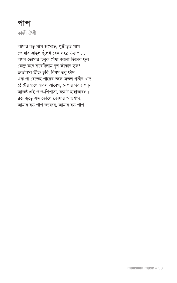### পাপ কাজী ঐশী

আমার বড় পাপ জমেছে, পুঞ্জীভূত পাপ .... তোমার আঙুল ছুঁলেই যেন সহস্র উত্তাপ ... অমন তোমার চিবুক ঘেঁষা কালো তিলের ফুল কেন্দ্র করে করেছিলাম বৃত্ত আঁকার ভুল! ক্রভঙ্গিমা তীক্ষ্ণ ছুরি, বিষম তবু ফাঁদ এক পা বেড়েই পায়ের তলে অতল গভীর খাদ। ঠোঁটের তলে তরল আবেগ, নেশার পরত গাঢ় আকণ্ঠ এই পাপ-পিপাসা, জমাট হাহাকারও। রক্ত জুড়ে শব্দ তোলে তোমার অভিশাপ, আমার বড় পাপ জমেছে, আমার বড় পাপ!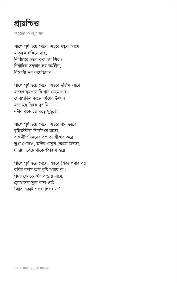

ফয়েজ আহাম্মেদ

পাপে পূর্ণ হয়ে গেলে, শহরে মড়ক আসে মাতৃস্তন শুকিয়ে যায়, নির্বিচারে হত্যা করা হয় শিশু। নির্বাচিত সরকার হয় কর্মহীন, বিরোধী দল কমেডিয়ান।

পাপে পূর্ণ হয়ে গেলে, শহরে দুর্ভিক্ষ লাগে মায়ের ঘুমপাড়ানি গান থেমে যায়। সেনাপতির কাছে ধর্ষণের উৎসব মনে হয় নিছক দষ্টামি। নদীর বুকে চর পড়ে মুহূর্তে!

পাপে পূর্ণ হয়ে গেলে, শহরে বান ডাকে বুদ্ধিজীবীরা নির্বোধের মতো, রাজনীতিবিদদের বশ্যতা স্বীকার করে। ভুখা পেটেও, তৃপ্তির ঢেকুর তোলে জনতা, দারিদ্য বেঁচে থাকে উপহাস হয়ে।

পাপে পূর্ণ হয়ে গেলে, শহরে শৈত্য প্রবাহ বয় কবির কলম আর বৃষ্টি ঝরায় না। প্ৰচণ্ড ক্ষোভে কবি রাস্তায় নামে. স্লোগানের সুরে বলে ওঠে 'আর একটি শব্দও লিখব না'।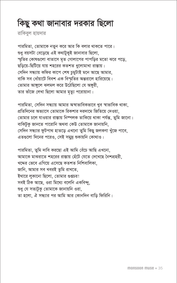# কিছু কথা জানাবার দরকার ছিলো

রাকিবুল হায়দার

পারমিতা, তোমাকে নতুন করে আর কি বলার থাকতে পারে। শুধু বয়সটা বেড়েছে এই কথাটুকুই জানাবার ছিলো, স্মৃতির কোষগুলো বাতাসে মৃত গোলাপের পাপড়ির মতো ঝরে পড়ে, ছড়িয়ে-ছিটিয়ে যায় শহরের কতশত ধুলোমাখা রাস্তায়। সেদিন সন্ধ্যায় কফির কাপে শেষ চুমুটাই মনে আছে আমার, বাকি সব ধোঁয়াটে বিবশ এক বিস্মতির অন্তরালে হারিয়েছে। তোমার আঙ্গুলে ঝলমল করে উঠেছিলো যে অঙ্গুরী, তার ভাঁজে লেখা ছিলো আমার মৃত্যু পরোয়ানা।

পারমিতা, সেদিন সন্ধ্যায় আমার অস্বাভাবিকভাবে খব স্বাভাবিক থাকা, প্রতিদিনের অভ্যাসে তোমাকে রিকশার দরদামে জিতিয়ে দেওয়া, তোমার চলে যাওয়ার রাস্তায় নিম্পলক তাকিয়ে থাকা পর্যন্ত, তুমি জানো। বাকিটুকু জানতে পারোনি অথবা কেউ তোমাকে জানায়নি, সেদিন সন্ধ্যার ফুটপাথ হাতড়ে এখনো তুমি কিছু জলকণা খুঁজে পাবে, এতগুলো দিনের পরেও, সেই সমুদ্র শুকায়নি কোথাও।

পারমিতা, তুমি দাবি করছো এই আমি বেঁচে আছি এখনো, আমাকে মাঝরাতে শহরের রাস্তায় হেঁটে যেতে দেখেছে নৈশপ্রহরী, খদ্দের ভেবে এগিয়ে এসেছে কতশত নিশিবালিকা, জানি, আমার সব খবরই তমি রাখতে, ইথারে লুকানো ছিলো, তোমার গুপ্তচর! সবই ঠিক আছে, ওরা মিথ্যে বলেনি একবিন্দু. শুধু যে সত্যটুকু তোমাকে জানায়নি ওরা, তা হলো, ঐ সন্ধ্যার পর আমি আর কোনদিন বাড়ি ফিরিনি।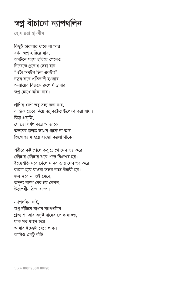## স্বপ্ন বাঁচানো ন্যাপথলিন

হোমায়রা হা-মীম

কিছুই হারাবার থাকে না আর যখন স্বপ্ন হারিয়ে যায়, অঘটনে সম্ভম হারিয়ে গেলেও নিজেকে প্রবোধ দেয়া যায়। "ওটা অঘটন ছিল একটা!" নতুন করে প্রতিবাদী হওয়ার অন্যায়ের বিরুদ্ধে রুখে দাঁড়াবার স্বপ্ন চোখে আঁকা যায়।

প্রাণির ধর্ষণ তবু সহ্য করা যায়, বাহ্যিক ভেবে নিয়ে বহু কষ্টেও উপেক্ষা করা যায়। কিন্তু প্ৰকৃতি, সে তো ধর্ষণ করে আত্মাকে। অন্তরের জুলন্ত আগুন থাকে না আর ভিজে ড্যাম হয়ে যাওয়া কয়লা থাকে।

শরীরে কষ্ট পেলে তবু চোখে মেঘ ভর করে ফোঁটায় ফোঁটায় ঝরে পড়ে নিঃশেষ হয়। ইচ্ছেশক্তি মরে গেলে মানবাত্মায় মেঘ ভর করে কালো হয়ে যাওয়া অন্তর বড্ড উদ্বায়ী হয়। জল ঝরে না ওই মেঘে. অদৃশ্য বাম্প বের হয় কেবল, উত্তাপহীন ঠাণ্ডা বাম্প।

ন্যাপথলিন চাই. স্বপ্ন বাঁচিয়ে রাখার ন্যাপথলিন। প্রত্যাশা আর অদৃষ্ট নামের পোকামাকড়, যাক সব ধ্বংস হয়ে। আমার ইচ্ছেটা বেঁচে থাক। আমিও একট বাঁচি।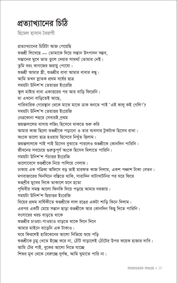# প্রত্যাখ্যানের চিঠি

হিমেল হাসান বৈরাগী

প্রত্যাখ্যানের চিঠিটা আজ পেয়েছি শুভশ্ৰী লিখেছে — তোমাকে দিয়ে সন্তান উৎপাদন সম্ভব, সম্ভানের মুখে ভাত তুলে দেয়ার সামর্থ্য তোমার নেই। তুমি বরং কাগজের জরায়ু পোষো। শুভশ্রী আমার স্ত্রী, শুভশ্রীর বাবা আমার বাবার বন্ধ। আমি তখন স্নাতক প্ৰথম বৰ্ষের ছাত্ৰ সময়টা উনিশ'শ তেয়াত্তর ইংরেজি স্কুল মাষ্টার বাবা একাত্তরের পর আর বাডি ফিরেনি। মা এখনো বাড়িতেই আছে, পারিবারিক গোরস্থান থেকে মাঝে মাঝে ডাক শুনতে পাই 'এই কাল কই গেলি!'? সময়টা উনিশ'শ তেয়াত্তর ইংরেজি নেত্ৰকোনা শহরে সেবারই প্রথম জয়ন্তলালের বাসায় লজিং হিসেবে থাকতে শুরু করি আমার কাজ ছিলো শুভশ্রীকে পড়ানো ও তার ব্যবসার টুকটাক হিসেব রাখা। অংকে ভালো ছাত্র হওয়ায় হিসেবে নিখুঁত ছিলাম। জয়ন্তলালকে পাই পাই হিসেব বুঝাতে পারলেও শুভশ্রীকে কোনদিন পারিনি। জীবনের সবচেয়ে গুরুত্বপূর্ণ অংকে হিসেব মিলাতে পারিনি। সময়টা উনিশ'শ পঁচাত্তর ইংরেজি ভালোবেসে শুভশ্রীকে নিয়ে পালিয়ে গেলাম। ঢাকায় এক পত্রিকা অফিসে বড ভাই মারফত কাজ নিলাম, একশ পঞ্চাশ টাকা বেতন। মগবাজারের ঘিনঘিনে বস্তিতে থাকি, সারাদিন খাটাখাটনির পর ঘরে ফিরে শুভশ্রীর মুখের দিকে তাকালে মনে হতো পৃথিবীর সমস্ত আলো ফিনকি দিয়ে পড়ছে আমার দরজায়। সময়টা উনিশ'শ ছিয়াত্তর ইংরেজি বিয়ের প্রথম বার্ষিকীতে শুভশ্রীকে লাল রঙের একটা শাডি কিনে দিলাম। এরপর একটি মেয়ে সন্তান ছাড়া শুভশ্রীকে আর কোনদিন কিছু দিতে পারিনি। সংসারের খরচ বাড়তে থাকে শুভশ্রীর চাওয়া-পাওয়াও বাডতে থাকে দিনে দিনে আমার মাইনে বাড়েনি এক টাকাও। ঘরে ফিরলেই হারিকেনের আলো নিভিয়ে শুয়ে পডি শুভশ্রীকে চুমু খেতে ইচ্ছে করে না, ঠোঁট বাড়ালেই ঠোঁটের উপর কয়েক হাজার দাবি। আমি টের পাই, বুকের আলো নিভে যাচ্ছে শিশুর মুখ থেকে বেরুচ্ছে দুর্গন্ধ, আমি ঘুমাতে পারি না।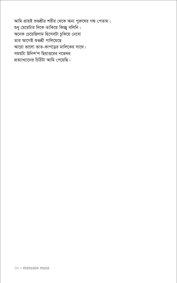আমি প্রায়ই শুভশ্রীর শরীর থেকে অন্য পুরুষের গন্ধ পেতাম। শুধু মেয়েটার দিকে তাকিয়ে কিচ্ছু বলিনি। অনেক চেয়েছিলাম হিসেবটা চুকিয়ে নেবো তার আগেই শুভশ্রী পালিয়েছে আরো ভালো ভাত-কাপড়ের মালিকের সাথে। সময়টা ঊনিশ'শ ছিয়াত্তরের নভেম্বর প্রত্যাখ্যানের চিঠিটা আমি পেয়েছি।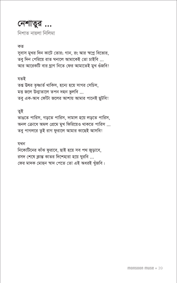### নেশাতুর ... নিশাত নায়লা নিলিমা

#### কত

সুবাস মুখর দিন কাটে তোর; গান, রং আর স্বপ্নে বিভোর, তবু দিন পেরিয়ে রাত ঘনালে আমাকেই তো চাইবি ... আর আরেকটি বার ঘ্রাণ নিতে ফের আমাতেই মুখ গুঁজবি!

#### যতই

তপ্ত উষর তৃষ্ণার্ত থাকিস, হন্যে হয়ে সাগর সেচিস, মত্ত জলে উন্মাতালে তপন দহন ভুলবি ... তবু এক-আধ ফোঁটা জলের আশায় আমার পানেই ছুটবি!

#### তৃই

ভাঙতে পারিস, গড়তে পারিস, দামাল হয়ে লড়তে পারিস, অনল ক্রোধে অমল প্রেমে মুখ ফিরিয়েও থাকতে পারিস ... তবু পাগলরে তুই রাগ ফুরালে আমার কাছেই আসবি!

#### যখন

নিকোটিনের ঝাঁঝ ফুরাবে, ছাই হয়ে সব পথ জুড়াবে, রসদ শেষে ক্লান্ত কাতর দিশেহারা হয়ে ঘুরবি ... ফের মাদক মোহন স্বাদ পেতে তো এই অধরই খুঁজবি।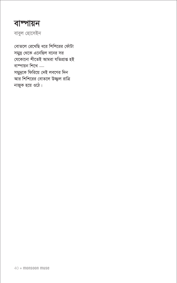### বাষ্পায়ন

বাবুল হোসেইন

বোতলে রেখেছি ধরে শিশিরের ফোঁটা সমুদ্র থেকে এনেছিল বনের সর যেকোনো শীতেই আমরা যতিপ্রাপ্ত হই বাম্পায়ন শিখে — সমুদ্রকে ফিরিয়ে দেই লবণের দিন আর শিশিরের বোতলে উজ্জল রাত্রি নাজুক হয়ে ওঠে।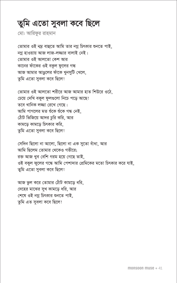# তুমি এতো সুবলা কবে ছিলে

মো: আরিফুর রাহমান

তোমার ওই নম বাহুতে আমি তার নগ্ন চিৎকার শুনতে পাই, নগ্ন হাওয়ায় আজ লাজ-লজ্জার বালাই নেই। তোমার ওই আলতো কেশ আর কানের ফাঁকের ওই বকুল ফুলের গন্ধ আজ আমার আঙুলের ফাঁকে খুনসুটি খেলে, তুমি এতো সুবলা কবে ছিলে!

তোমার ওই আলতো শরীরে আজ আমার হাত শিউরে ওঠে, চেয়ে দেখি বকুল ফুলগুলো নিচে পড়ে আছে! তবে খানিক লজ্জা রেখে গেছে। আমি পাগলের মত শুঁকে শুঁকে গন্ধ নেই. ঠোঁট ভিজিয়ে আদর চুরি করি, আর কামড়ে কামড়ে চিৎকার করি. তুমি এতো সুবলা কবে ছিলে!

সেদিন ছিলো না আলো, ছিলো না এক সুতো বাঁধা, আর আমি ছিলেম তোমার থেকেও গভীরে: রক্ত আজ খুব বেশি গরম হয়ে গেছে তাই. ওই বকুল ফুলের গন্ধে আমি পেশাদার প্রেমিকের মতো চিৎকার করে যাই, তুমি এতো সুবলা কবে ছিলে!

আজ ভুল করে তোমার ঠোঁট কামড়ে ধরি, দেহের মাঝের সুখ কামড়ে ধরি, আর শেষে ওই নগ্ন চিৎকার শুনতে পাই, তুমি এত সুবলা কবে ছিলে!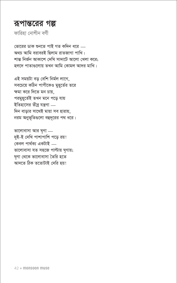#### রূপান্তরের গল্প

#### ফারিহা নোশীন বর্ণী

ভোরের ডাক শুনতে পাই গত কদিন ধরে ..... অথচ আমি বরাবরই ছিলাম রাতজাগা পাখি। শান্ত নিৰ্জন আকাশে দেখি সাদাটে আলো খেলা করে: হলদে পাতাগুলোয় তখন আমি কোমল আদর মাখি।

এই সময়টা বড় বেশি নিৰ্মল লাগে, সবচেয়ে কঠিন পাপীকেও মুহূর্তের তরে ক্ষমা করে দিতে মন চায়, পরমুহূর্তেই তখন মনে পড়ে যায় ইতিহাসের তীব্র যন্ত্রণা ..... দিন বাডার সাথেই মায়া সব হারায়. নরম অনুভূতিগুলো বহুদূরের পথ ধরে।

ভালোবাসা আর ঘৃণা — দুই-ই দেখি পাশাপাশি পড়ে রয়! কেবল পাৰ্থক্য একটাই — ভালোবাসা যত সহজে পাল্টায় ঘৃণায়; ঘণা থেকে ভালোবাসা তৈরি হতে আদতে ঠিক ততোটাই দেরি হয়!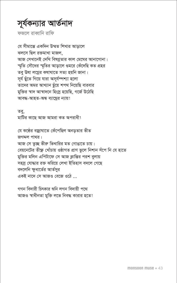সূর্যকন্যার আর্তনাদ

ফজলে রাব্বানি রাফি

যে সীমান্তে একদিন উম্মত শিখার আডালে ঝলসে ছিল রক্তমাখা মাজল, আজ সেখানেই দেখি বিষণ্ণতার কাল মেঘের আনাগোনা। স্মৃতি সৌধের স্মৃতির আড়ালে গুমরে কেঁদেছি কত প্রহর তবু উষা লগ্নের কষাঘাতে সত্য হয়নি জানা। সূর্য ছুঁতে গিয়ে যারা অসূর্যস্পশ্যা হলো তাদের অমর আখ্যান ছুঁয়ে শপথ নিয়েছি বারবার মুক্তির স্বাদ আস্বাদনে হিংস্র হয়েছি, গর্জে উঠেছি আবদ্ধ-আহত-অন্ধ ব্যাঘ্ৰের ন্যায়!

তব. মাটির কাছে আজ আমরা কত অপরাধী!

যে কণ্ঠের বজ্রাঘাতে কেঁপেছিল অনড়তার ভীত জগদ্দল পাথব। আজ সে তুচ্ছ ভীরু ভিখারির মত গোঙাতে চায়। বেয়নেটের তীক্ষ্ণ খোঁচায় ওষ্ঠাগত প্রাণ ভুলে নিশান সঁপে নি যে হাতে মুক্তির মলিন এপিটাফে সে আজ ক্লান্তির পরশ বুলায় সহস্ৰ যোদ্ধার রক্ত ঝরিয়ে লেখা ইতিহাস বদলে গেছে বদলেনি ক্ষধার্তের আর্তসর একই নাদে সে আজও বেজে ওঠে ...

গগন বিদারী চিৎকার শুনি লগন বিদায়ী পথে আজও স্বাধীনতা মুক্তি লভে নিবদ্ধ কারার হতে!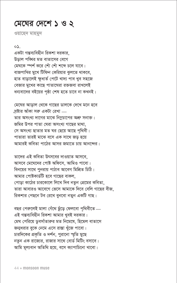#### মেঘের দেশে ১ ও ২

ওয়াহেদ মাহমুদ

o۵.

একটা গন্তব্যবিহীন রিকশা দরকার, উড়াল পঙ্খির মত বাতাসের বেগে মেঘকে স্পর্শ করে শোঁ শোঁ শব্দে চলে যাবে। বাজপাখির মুখে টিফিন কেরিয়ার ঝুলতে থাকবে, হাত বাড়ালেই ক্ষুধাৰ্ত পেটে খাদ্য পাব খুব সহজে বেজার মুখের কাছে পাতাঘেরা রক্তজবা রাখলেই ধন্যবাদের বইয়ের পৃষ্ঠা শেষ হতে চাবে না কখনই।

মেঘের আডাল থেকে গাছের ডালকে দেখে মনে হবে দ্রষ্টার আঁকা সরু একটা রেখা — তার অসংখ্য দাগের মাঝে নিম্নচাপের অশ্রু সনাক্ত। জমির উপর পাতা ঘেরা অসংখ্য গাছের মাথা, সে অসংখ্য ছাতার মত ঘর ছেয়ে আছে পৃথিবী। পাতারা তারই মাঝে বসে এক সাথে জড় হয়ে আমারই কবিতা পাঠের আসর জমাতে চায় আনন্দের।

তাদের এই কবিতা উৎসবের দাওয়াত আসবে, আসবে মেঘেদের পোষ্ট অফিসে, আমিও পাবো। বিনয়ের সাথে পনরায় পাঠাব আবেগ মিশ্রিত চিঠি। আমার পোষ্টকার্ডটি হবে গাছের বাকল, পোড়া কাঠের চারকোলে লিখে দিব নতুন প্রেমের কবিতা, তারা আবারও আবেগে ভেসে আমাকে দিবে বেলি গাছের বীজ, রিকশার পেছনে টব রেখে বুনবো নতুন একটি গাছ।

বছর পেরুলেই মালা গেঁথে ছুঁড়ে ফেলবো পৃথিবীতে — এই গন্তব্যবিহীন রিকশা আমার খুবই দরকার। মেঘ পেরিয়ে ডুবসাঁতারুর মত নিমেষে, হিমেল বাতাসে জন্মধরার বুকে নেমে এসে রাস্তা খুঁজে পাবো। চারদিকের প্রকৃতি ও দর্শন, পুরানো স্মৃতি মুছে নতুন এক রাজ্যের, রাজার সাথে বোর্ড মিটিং বসাবে। আমি মূল্যবান অতিথি হয়ে, বসে ক্যাপাচিনো খাবো।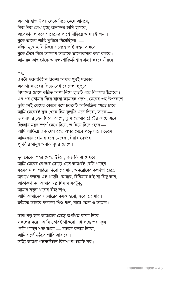অসংখ্য হাত উপর থেকে নিচে নেমে আসবে, নিজ নিজ চোখ মুছে আনন্দের হাসি হাসবে, অপেক্ষায় থাকবে গাছেদের পাশে দাঁড়িয়ে আমারই জন্য। বুকে তাদের শান্তি ফুরিয়ে গিয়েছিলো -মলিন মুখে হাসি ফিরে এসেছে তাই নতুন সাহসে বুকে টেনে নিয়ে আবেগে আমাকে ভালোবাসার কথা বলবে। আমারই কাছ থেকে আনন্দ-শান্তি-নিশ্বাস গ্রহণ করবে নীরবে।

০২.

একটা গন্তব্যবিহীন রিকশা আমার খুবই দরকার অসংখ্য মানুষের ভিড়ে সেই রোদেলা দুপুরে বিষাদের চোখে কল্পিত আশা নিয়ে হাতটি ধরে রিকশায় উঠাবো। এর পর তোমায় নিয়ে যাবো আমারই দেশে, মেঘের ওই উপকেশে তুমি সেই মেঘের কোলে বসে চকলেট আইসক্রিম খেতে চাবে আমি মেঘেরই বুক থেকে হিম কুলফি এনে দিবো, তাতে — ভালবাসার চুম্বন দিবো আগে, তুমি তোমার ঠোঁটের কাছে এনে জিহ্বায় মধুর স্পর্শ মেখে দিয়ে, তাকিয়ে দিবে হেসে— আমি লাফিয়ে এক মেঘ হতে অপর মেঘে পড়ে যাবো ভেসে। আচমকায় বোমার ধসে মেঘের ধোঁয়ায় দেখবে পৃথিবীর মানুষ অবাক ধূসর চোখে।

দূর মেঘের গল্পে মেতে উঠবে, কত কি না দেখবে। আমি মেঘের ঘোড়ায় দৌড়ে এসে আমারই বেলি গাছের ফুলের মালা পরিয়ে দিবো তোমায়, অনুরোধের কৃপণতা ছেড়ে অবাধে বলবো এই গাছটি তোমার, বিনিময়ে চাই না কিছু আর, আকাজ্ঞা নয় আমার স্বপ্ন দিলাম সবটুকু, আমায় নতুন ধানের বীজ দাও, আমি আমাদের সংসারের কৃষক হবো, হবো তোমার। জমিতে আদরে ফলাবো শিশু-ধান, নামে তোর ও আমার।

তারা বড় হবে আমাদের ছেড়ে অগণিত ফসল দিবে সকলের ঘরে। আমি তোরই থাকবো এই গন্ধে ভরা ফুল বেলি গাছের শক্ত ডালে — চাইলে কলাম দিয়ো, আমি গৰ্জে উঠতে পারি আবারো। সত্যি আমার গন্তব্যবিহীন রিকশা না হলেই নয়।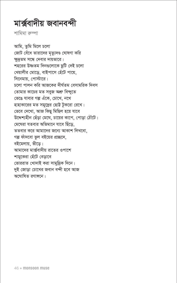# মাৰ্ক্সবাদীয় জবানবন্দী

শামিমা রুম্পা

আমি, তুমি মিলে চলো জোট বেঁধে তারাদের মৃত্যুদণ্ড ঘোষণা করি ক্ষুদ্রতম সন্ধে দেবার দায়ভারে। শহরের উষ্ণতম দিনগুলোকে ছুটি দেই চলো খেয়ালীর মোড়ে, বাইপাসে হেঁটে পায়ে, সিনেমায়, পোস্টারে। চলো পালন করি আজকের দীর্ঘতম বেসামরিক দিবস তোমার কাচের মত সবুজ অশ্রু বিন্দুতে ভেঙে যাবার গল্প এঁকে, চোখে, নখে হাহাকারের মত সমুদ্রের ছোট টুকরো রেখে। ভেবে দেখো, আজ কিছু মিছিল হয়ে যাবে উদ্দেশ্যহীন ছেঁড়া মেঘে, চায়ের কাপে, পোড়া ঠোঁটে। মেঘেরা যতবার অভিমানে যাবে ছিঁডে. ততবার করে আমাদের জন্যে আকাশ লিখবো. গল্প ফাঁদবো ভুল বইয়ের প্রচ্ছদে, বইমেলায়, ভীডে। আমাদের মার্ক্সবাদীয় রাতের ওপাশে শামুকেরা হেঁটে বেডাবে ভোররাত খোদাই করা সামুদ্রিক দিনে। দুই জোড়া চোখের জবান বন্দী হবে আজ অঘোষিত বণা*ঙ্গ*নে।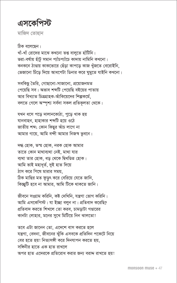এসকেপিস্ট

মাজিদ তোহান

ঠিক বলেছেন। খাঁ-খাঁ রোদের মাঝে কখনো তপ্ত বালুতে হাঁটিনি। ভরা-বর্ষায় হাঁটু সমান প্যাঁচপ্যাঁচে কাদায় নামিনি কখনো। কনকনে ঠাণ্ডায় কাকভোরে ছেঁড়া কাপড়ে কাজ খুঁজতে বেরোইনি, ভেজানো চিঁডে দিয়ে আধপেটা ডিনার করে ঘুমুতে যাইনি কখনো।

সবকিছু তৈরি, গোছানো-সাজানো, প্রয়োজনমত পেয়েছি সব। অভাব শব্দটি পেয়েছি বইয়ের পাতায় আর বিখ্যাত চিত্রগ্রাহক-আঁকিয়েদের শিল্পকর্মে, বলতে গেলে অস্পৃশ্য সর্বদা সকল প্রতিকূলতা থেকে।

যখন ধসে পড়ে দালানকোঠা, পুড়ে খাক হয় যানবাহন, হাহাকার শব্দটি হয়ে ওঠে জাতীয় শব্দ; কোন কিছুর আঁচ লাগে না আমার গায়ে, আমি বন্দী আমার নিজস্ব ভুবনে।

দগ্ধ হোক, ভস্ম হোক, নরক হোক আমার তাতে কোন মাথাব্যথা নেই, মাথা যার ব্যথা তার হোক, ধড থেকে দ্বিখণ্ডিত হোক। আমি ভাই মহাধূৰ্ত, দুই হাত দিয়ে ঠাস করে পিষে মারার সময়. ঠিক মাছির মত ফুড়ৎ করে বেরিয়ে যেতে জানি, কিচ্ছটি হবে না আমার, আমি টিকে থাকতে জানি।

জীবনে সংগ্রাম করিনি, কষ্ট দেখিনি, যন্ত্রণা ভোগ করিনি। আমি এসকেপিস্ট। যা ইচ্ছা বলন না। প্ৰতিবাদ করেছি? প্রতিবাদ করতে শিখলে তো করব, চামড়াটা গণ্ডারের কানটা লোহার, মনের সুখে মিটিয়ে নিন ঝালতো!

তবে এটা জানেন তো, এদেশে বাস করতে হলে যন্ত্রণা, বেদনা, জীবনের ঝুঁকি এসবকে প্রতিদিন পকেটে নিয়ে বের হতে হয়! নিত্যসঙ্গী করে দিনযাপন করতে হয়, সঙ্গিনীর হাতে এক হাত রাখলে অপর হাত এদেরকে প্রতিরোধ করার জন্য বরাদ্দ রাখতে হয়!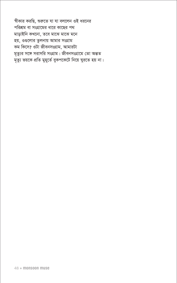স্বীকার করছি, শুরুতে যা যা বললেন ওই ধরনের পরিশ্রম বা সংগ্রামের ধারে কাছের পথ মাড়াইনি কখনো, তবে মাঝে মাঝে মনে হয়, ওগুলোর তুলনায় আমার সংগ্রাম কম কিসে? ওটা জীবনসংগ্ৰাম, আমারটা মৃত্যুর সঙ্গে সরাসরি সংগ্রাম। জীবনসংগ্রামে তো অন্তত মৃত্যু ভয়কে প্রতি মুহূর্তে বুকপকেটে নিয়ে ঘুরতে হয় না।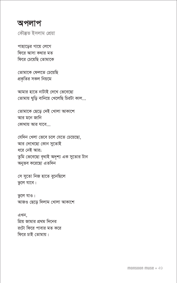#### অপলাপ

কৌম্ভভ ইসলাম শ্ৰেয়া

পাহাড়ের গায়ে লেগে ফিরে আসা কথার মত ফিরে চেয়েছি তোমাকে

তোমাকে ফেলতে চেয়েছি প্রকৃতির সকল নিয়মে

আমার হাতে নাটাই দেখে ভেবেছো তোমায় ঘুড়ি বানিয়ে খেলেছি চিরটা কাল...

তোমাকে ছেড়ে দেই খোলা আকাশে আর মনে জানি কোথায় আর যাবে...

যেদিন খেলা ভেবে চলে যেতে চেয়েছো, আর দেখেছো কোন সুতোই ধরে নেই আর; তুমি ভেবেছো বৃথাই অদৃশ্য এক সুতোর টান অনুভব করেছো এতদিন

সে সুতো নিজ হাতে বুনেছিলে তুলে যাবে।

তুলে যাও। আজও ছেড়ে দিলাম খোলা আকাশে

এখন, প্রিয় জামার প্রথম দিনের রংটা ফিরে পাবার মত করে ফিরে চাই তোমায়।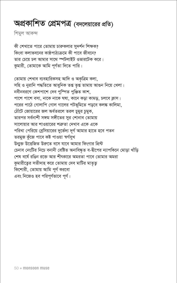## অপ্রকাশিত প্রেমপত্র (বদলেয়ারের প্রতি)

শিমুল আকন্দ

কী শেখাতে পারে তোমায় চারুকলার সুদর্শন শিক্ষক? কিংবা কলাভবনের কাষ্ঠপাঠ্যক্রমে কী পাবে জীবনে? তার চেয়ে চল আমার সাথে স্পটলাইট ওভারটেক করে। কুমারী, তোমাকে আমি পূর্ণতা দিতে পারি।

তোমায় শেখাব ব্যবহারিকসহ আদি ও অকৃত্রিম কলা, সহি ও নুরানি পদ্ধতিতে আধুনিক তপ্ত তৃপ্ত তামায় আগুন নিয়ে খেলা। নবীনবরণে কেশপাশে দেব পুস্পিত পুঞ্জিত কাশ, পাশে পাশে বসা, নাকে নাকে ঘষা, কানে কড়া কামড়, চলবে ক্লাস। পরের পাঠে গোলাপি গোল গালের পটভূমিতে পড়বে কলঙ্ক কালিমা, ঠোঁটে জোয়ারের জল অর্ধতরলে তরল চুমুর চুমুক. তারপর সর্বনাশী সঙ্গম সঙ্গীতের সুর শোনাব তোমায় সালোয়ার আর শাওয়ারের শত্রুতা দেখাব একে একে পরিখা পেরিয়ে ব্রেসিয়ারের দুর্ভেদ্য দূর্গ আমার হাতে হবে পতন তরমুজ কুঁজে পাবে কষ্ট পাওয়া স্বর্গসুখ উন্মক্ত উত্তেজিত উরুতে বসে যাবে আমার ফিংগার প্রিন্ট চেনাব নেংটির নিচে বনানী বেষ্টিত অনাবিষ্কৃত ব-দ্বীপের ন্যাপকিনে মোড়া খাঁড়ি শেষ বর্ষে রঙিন রক্তে আর শীৎকারে অমরতা পাবে তোমার অমরা কুমারীতেুর সতীদাহ করে তোমায় দেব মাটির মাতৃত্ব কিশোরী, তোমায় আমি পূর্ণ করবো এবং নিজেও হব পরিপূর্ণভাবে পূর্ণ।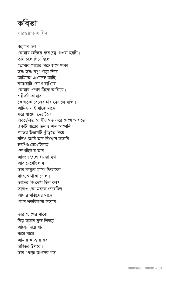কবিতা

সারওয়াত সামিন

বহুকাল হল তোমায় জড়িয়ে ধরে চুমু খাওয়া হয়নি। তুমি চলে গিয়েছিলে তোমার পায়ের নিচে জমে থাকা উষ্ণ উষ্ণ স্বপ্ন পাডা দিয়ে। আমিতো এখানেই আছি কাদামাটি চোখে মাখিয়ে তোমার পথের দিকে তাকিয়ে। শরীরটি আমার কোল্ডস্টোরেজের চার দেয়ালে বন্দি। আমিও যাই মাঝে মাঝে মরে যাওয়া দেহটিকে অবহেলিত রোগীর মত করে দেখে আসতে। একটি বারের জন্যও শব্দ আসেনি শান্তির উত্তাপটি ঝুঁড়িতে নিয়ে। যদিও আমি তার নিঃশ্বাস অভাবি হৃৎপিণ্ড দেখেছিলাম দেখেছিলাম তার আগুনে জ্বলে যাওয়া মুখ আর দেখেছিলাম তার কান্নার মাঝে ধিক্কারের বাজতে থাকা ঢোল। তাদের কি দোষ ছিল বল? তারাও তো মরতে চেয়েছিল আমার মস্তিষ্কের মাঝে কোন শব্দবিলাসী সন্ধ্যায়।

তার চোখের মাঝে কিছু অভাব যুক্ত শিকড় আঁচড দিয়ে যায় বারে বারে আমার আত্মার সব হাড্ডির উপরে। তার পোড়া মাংসের গন্ধ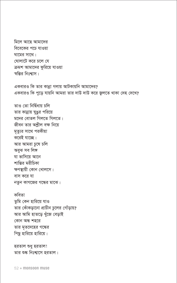52 · monsoon muse

হরতাল শুধু হরতাল! তার শুষ্ক নিঃশ্বাসে হরতাল।

কবিতা তুমি কেন হারিয়ে যাও তার কোঁকড়ানো প্রাচীন চুলের গোঁড়ায়? আর আমি হাতড়ে খুঁজে বেড়াই কোন অন্ধ শহরে তার মৃতদেহের গন্ধের পিছু হারিয়ে হারিয়ে।

তার কান্নায় ঘুঙুর পরিয়ে মদের বোতল গিলতে গিলতে। জীবন তার অশ্লীল বক্ষ নিয়ে মৃত্যুর সাথে পরকীয়া করেই যাচ্ছে। আর আমরা চুষে চলি অবুঝ সব লিঙ্গ যা ভাসিয়ে আনে শান্তির মরীচিকা ক্ষণস্থায়ী কোন খোলসে। বাস করে যা নতুন কাগজের গন্ধের মাঝে।

তাও তো নিৰ্দ্বিধায় চলি

একবারও কি তার কান্না গলায় আটকায়নি আমাদের? একবারও কি পুড়ে যায়নি আমরা তার দাউ দাউ করে জ্বলতে থাকা দেহ দেখে?

মিলে আছে আমাদের বিবেকের পচে যাওয়া ঘামের সাথে। ঘোলাটে করে চলে যে ক্রমশ আমাদের ফুরিয়ে যাওয়া স্বস্তির নিঃশ্বাস।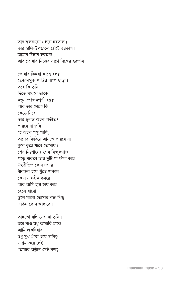তবে কি তুমি দিতে পারবে তাকে নতুন স্পন্দনপূৰ্ণ যন্ত্ৰ? আর তার থেকে কি কেড়ে নিবে তার জ্বলন্ত অচল অতীত? পারবে না তুমি। হে অচল পঙ্গু পাখি, তাদের ফিরিয়ে আনতে পারবে না। কুরে কুরে খাবে তোমায়। শেষ নিঃশ্বাসের শেষ বিন্দুকণাও পড়ে থাকবে তার দুটি পা ফাঁক করে উৎপীড়িত কোন দশায়। বীরঙ্গনা হয়ে পুঁতে থাকবে কোন নামহীন কবরে। আর আমি হায় হায় করে হেসে যাবো ভুলে যাবো তোমার শক্ত শিশ্ন এতিম কোন আঁধারে। তাইতো বলি যেও না তুমি। মরে যাও শুধু আমারি মাঝে।

আমি একটিবার

উদাম করে দেই

শুধু মুখ গুঁজে শুয়ে থাকি?

তোমার অশ্লীল সেই বক্ষ?

তার ঝলসানো গুণ্ঠনে হরতাল। তার হাসি-উপড়ানো ঠোঁটে হরতাল। আমার চিন্তায় হরতাল। আর তোমার নিজের সাথে নিজের হরতাল।

তোমার কিইবা আছে বল? ভেজালমুক্ত শান্তির বাম্প ছাড়া।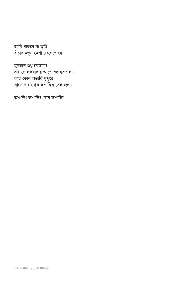54 · monsoon muse

হরতাল শুধু হরতাল!

এই গোলকধাঁধায় আছে শুধু হরতাল।

সাড়ে বার ঢোক অশান্তির সেই জল।

অশান্তি! অশান্তি! ঘোর অশান্তি!

জানি থাকবে না তুমি। বাঁচার নতুন নেশা জেগেছে যে।

আর কোন অভাবি দুপুরে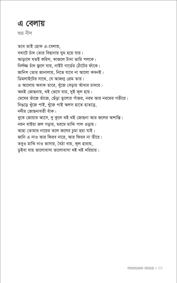#### <u>এ বেলায়</u>

**শুদ্ৰ নীল** 

*ত*বে তাই হোক এ-বেলায়, বখাটে চাঁদ তোর বিছানায় ঘুম হয়ে যায়। <u>সাডালে যতই করিস, কাজলে টানা ভারি পলকে।</u> *নিৰ্লজ্জ চাঁদ জুলে যায়, নাইট গাৰ্ডের ঠোটের ফাঁকে।* জানিস তোর জানালায়, নিভে যাবে না আলো কখনই।  $\sqrt{2}$ মলাইটের সাথে, যে আজন্ম প্রেম তার। এ আলোয় অবাক তারে, খুঁজে বেড়ায় আঁধার চাদরে।  $\overline{Q}$ ষ্ট জোছনায়, থই ভেসে যায়, দুই কূল হায়। *†g‡Ni fuv‡R fuv‡R, †Quov Zz‡jvi cuvRi, big Avi bi‡gi Mfx‡i| wbO‡o Luy‡R cvB, Luy‡R cvB Ajm nv‡Z nvZ‡o, মদীর জোছনাবতী বাঁক। বু*কে জোয়ার আসে, দু কুলে থই থই জোছনা আর জলের অশান্তি। *ন*য়ন বাইয়া জল গড়ায়, মরমে মাঝি পাল ওড়ায়। *আহা তোমার নায়ের তলে জলের চুমা হয়া যাই। জা*নি এ নাও আর ফিরব নারে, আর ফিরব না তীরে। *ত*বুও মাঝি নাও ভাসায়, বৈঠা বায়, কুল হারায়,  $\frac{1}{2}$ হবা যায় ভালোবাসা ভালোবাসা থই থই দরিয়ায়।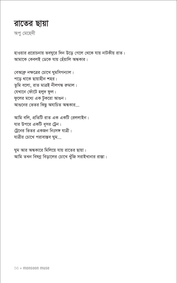### রাতের ছায়া

অপু মেহেদী

হাওয়ার প্ররোচনায় ভবঘুরে দিন উড়ে গেলে থেকে যায় নাটকীয় রাত। আমাকে কেবলই ডেকে যায় হেঁয়ালি অন্ধকার।

বেআক্রু নক্ষত্রের চোখে ঘুমসিগন্যাল। পড়ে থাকে ছায়াহীন শহর। তুমি বলো, রাত মাত্রই নীলগন্ধ রুমাল। যেখানে ফোঁটে হলুদ ফুল। ফুলের মধ্যে এক টুকরো আগুন। আগুনের ভেতর কিছু অযাচিত অন্ধকার...

আমি বলি, প্রতিটি রাত এক একটি রেললাইন। যার উপরে একটি ধূসর ট্রেন। ট্রেনের ভিতর একজন নিঃসঙ্গ যাত্রী। যাত্রীর চোখে পরাবাস্তব ঘুম...

ঘুম আর অন্ধকারে মিলিয়ে যায় রাতের ছায়া। আমি তখন বিষণ্ণ বিড়ালের চোখে খুঁজি সরাইখানার রাস্তা।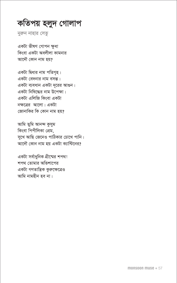# কতিপয় হলুদ গোলাপ

নুরুন নাহার সেতু

একটা ভীষণ গোপন ক্ষুধা কিংবা একটা অবলীলা কামনার আদৌ কোন নাম হয়?

একটা দ্বিধার নাম পতিগৃহ। একটা বেদনার নাম বসন্ত। একটা ব্যবধান একটা দূরের আগুন। একটা নিষিদ্ধের নাম উপেক্ষা। একটা এলিজি কিংবা একটা নক্ষত্রের আলো। একটা জোনাকির কি কোন নাম হয়?

আমি তুমি আনন্দ কুসুম কিংবা পিপীলিকা প্ৰেম, সুখে আছি জেনেও পাঠিকার চোখে পানি। আদৌ কোন নাম হয় একটা ক্যান্টিনের?

একটা সর্বাধুনিক গ্রীষ্মের শপথ! শপথ তোমার অভিশাপের একটা গণতান্ত্রিক করুক্ষেত্রেও আমি নামহীন হব না।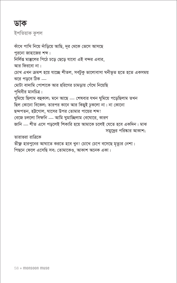#### ডাক

ইশতিয়াক কুশল

কাঁধে পাখি নিয়ে দাঁড়িয়ে আছি, দূর থেকে ভেসে আসছে পুরনো জাহাজের শব্দ। নিৰ্লিপ্ত মাস্তুলের পিঠে চড়ে ছেড়ে যাবো এই বন্দর এবার, আর ফিরবো না। চোখ এখন ক্ৰমশ হয়ে যাচ্ছে শীতল, সবটুকু ভালোবাসা ঘনীভূত হতে হতে একসময় ঝরে পডবে ঠিক – মোটা বাদামি পোশাকে আর হরিণের চামড়ায় গেঁথে নিয়েছি পৃথিবীর মানচিত্র। ঘুমিয়ে ছিলাম বহুকাল; মনে আছে — শেষবার যখন ঘুমিয়ে পড়েছিলাম তখন ছিল কোনো বিকেল; তারপর কানে আর কিছুই ঢুকলো না। না কোনো ছন্দপতন, হট্টগোল, ঘাসের উপর তোমার পায়ের শব্দ! বেজে চললো সিম্ফনি — আমি ঘুমাচ্ছিলাম বেঘোরে, কারণ জানি — শীত এসে পড়লেই শিকারি হয়ে আমাকে চলেই যেতে হবে একদিন। মাঝ সমুদ্রের পরিষ্কার আকাশ; তারাভরা রাত্রিকে

তীক্ষ্ণ হারপুনের আঘাতে করতে হবে খুন! চোখে চেপে বসেছে মৃত্যুর নেশা। পিছনে ফেলে এসেছি সব; তোমাকেও, আকাশ অনেক একা।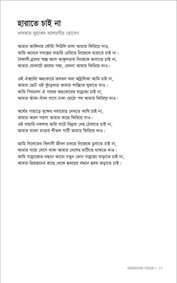# হারাতে চাই না

খন্দকার মুহাম্মদ আলমগীর হোসেন

আমার আঙ্গিনায় ফোঁটা শিউলি মালা আমায় ফিরিয়ে দাও. আমি অন্যের বসন্তের বাহারি চেরিতে নিজেকে হারাতে চাই না। বৈকালী হ্রদের স্বচ্ছ জলে আকলতায় নিজেকে ভাসাতে চাই না. আমার ঘোলাটে জলের পদ্মা, মেঘনা আমায় ফিরিয়ে দাও।

ওই ঐশ্বর্যের অহংকারে ঝলমল করা অট্রালিকা আমি চাই না, আমার ছোট ওই কুঁড়েঘরে আমায় শান্তিতে ঘুমাতে দাও। আমি পিচঢালা ঐ পথের অহংকারের সাম্রাজ্য চাই না. আমার আঁকা-বাঁকা ঘাসে ঢাকা মেঠো পথ আমায় ফিরিয়ে দাও।

অৰ্থের পাহাড়ে বৃক্ষের সমারোহ দেখতে আমি চাই না, আমার অচল পয়সা আমার কাছে ফিরিয়ে দাও। ওই বাহারি নকশায় ভারি খাটে নিদায় দেহ ঠেকাতে চাই না আমার বাংলা মায়ের শীতল পাটি আমায় ফিরিয়ে দাও।

আমি বিলেতের বিলাসী জীবন চাদরে নিজেকে ডুবাতে চাই না, আমার গায়ে লেগে থাকা আমার দেশের মাটিতে থাকতে দাও। আমি সাম্রাজ্যের বন্ধনে আরো নতুন কোন সাম্রাজ্য বাড়াতে চাই না, আমার প্রিয়জনের কাছে থেকে হৃদয়ের বন্ধনে হৃদয় জড়াতে চাই।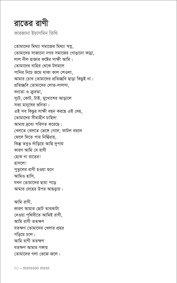## রাতের রাণী

ফারজানা ইয়াসমিন তিথি

তোমাদের মিথ্যা সমাজের মিথ্যা স্বপ্ন. তোমাদের সাজানো নগর সমাজের গোঙানো কান্না. লাল নীল হাজার কষ্টের সাক্ষী আমি। তোমাদের বাহির থেকে টলমলে পানির নিচে জমে থাকা কাল শেওলা, আমার চোখ তোমাদের প্রতিচ্ছবি ছাড়া কিছুই না। প্রতিচ্ছবি তোমাদের লোভ-লালসা, বন্যতা ও ক্রুরতা, স্যুট, কোট, টাই, মুখোশের আড়ালে সভ্য মানম্বের ভনিতা। এই সব কিছুর সাক্ষী বহন করছে এই দেহ. তোমাদের সীমাহীন চাহিদা আমায় দ্রব্যে পরিণত করেছে। খেলতে খেলতে ভেঙ্গে গেলে, ফাটল ধরলে ফেলে দিতে পার নির্দ্বিধায়, কিন্তু তবুও দাঁড়িয়ে আছি দুপায় কারণ আমি যে রাণী হোক না রাতের! হাসলে! পতলের রাণী হওয়া শুনে আমিও হাসি. যখন তোমাদের ছায়া পড়ে আমার দেহের উপর আছড়ায়। আমি রাণী.

কারণ আমার ছোট তারকাটা দেওয়া পৃথিবীতে আমিই রাণী, আমি রাণী ততক্ষণ যতক্ষণ তোমাদের খেলার প্রহর গডিয়ে চলে। আমি রাণী ততক্ষণ যতক্ষণ আমার গঙ্গায় তোমাদের গলা ভেজে জলে।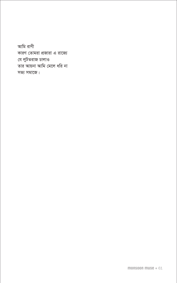আমি রাণী কারণ তোমরা প্রজারা এ রাজ্যে যে লুটতরাজ চালাও তার আয়না আমি মেলে ধরি না সভ্য সমাজে।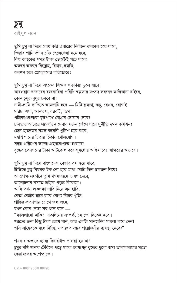## प्रयू রাইসুল নয়ন

তুমি চুমু না দিলে বোধ করি এবারের নির্বাচন বানচাল হয়ে যাবে, তিস্তার পানি বন্টন চুক্তি ছেলেখেলা মনে হবে, বিশ্ব ব্যাংকের সমস্ত টাকা ভোল্টেই পচে যাবে! অক্ষরে অক্ষরে বিদ্রোহ, বিচার, হুমকি, অনশন হবে প্রেসক্লাবের করিডোরে!

তুমি চুমু না দিলে অংকের শিক্ষক শতকিয়া ভুলে যাবে! কারওয়ান বাজারের ব্যবসায়িরা পরিধি স্বল্পতায় সংসদ ভবনের মালিকানা চাইবে, কোন চুদুর-বুদুর চলবে না! নামী-দামি গাড়িতে আমদানি হবে — মিষ্টি কুমড়া, কচু, বেগুন, বোম্বাই মরিচ, শসা, আনারস, বরবটি, ডিম! পত্রিকাওয়ালারা ফুটপাথে ঠোঙার দোকান দেবে! চালতার আচারে স্যাকারিন দেবার দরুন ফেঁসে যাবে দুর্নীতি দমন কমিশন! জেল হাজতের সমস্ত কয়েদী পুলিশ হয়ে যাবে, মহাশাশানের চিতায় চিতায় গোলযোগ। সন্ধ্যা প্রদীপের আলো গ্রহণযোগ্যতা হারাবে! বৃদ্ধের পেনশনের টাকা আটকে থাকবে ঘুষখোর অফিসারের স্বাক্ষরের অভাবে।

তুমি চুমু না দিলে বাংলাদেশ বেতার বন্ধ হয়ে যাবে, টিভিতে চুমু বিষয়ক টক শো হবে মাথা মোটা তিন-চারজন নিয়ে! আত্মপক্ষ সমৰ্থনে তুমি গণমাধ্যমে ভাষণ দেবে, আলোচনায় বসতে চাইবে পড়ন্ত বিকেলে। আমি তখন একদফা দাবি নিয়ে অনাহারি, নেতা-নেত্রীর দ্বারে দ্বারে যোগ্য বিচার খুঁজি! প্রাপ্তির প্রত্যাশায় চোখে জল জমে, যখন কোন নেতা সব শুনে বলে ..... "ফাজলামো নাকি! এতদিনের সম্পর্ক, চুমু তো দিতেই হবে। খরচের জন্য কিছু টাকা রেখে যান, আর একটা মানহানির মামলা করে দেন! ওসি সাহেবকে বলে দিচ্ছি, যত দ্রুত সম্ভব প্রয়োজনীয় ব্যবস্থা নেবে!"

পয়সার অভাবে ন্যায্য বিচারটাও পাওয়া হয় না! চুমুর নথি থানার টেবিলে পড়ে থাকে মরণাপন্ন বৃদ্ধের ধুলো জমা তালাকনামার মতো কেয়ামতের অপেক্ষাতে।